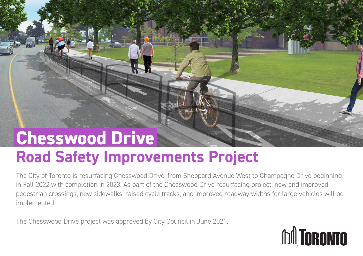#### **Road Safety Improvements Project Chesswood Drive**

The City of Toronto is resurfacing Chesswood Drive, from Sheppard Avenue West to Champagne Drive beginning in Fall 2022 with completion in 2023. As part of the Chesswood Drive resurfacing project, new and improved pedestrian crossings, new sidewalks, raised cycle tracks, and improved roadway widths for large vehicles will be implemented.

The Chesswood Drive project was approved by City Council in June 2021.

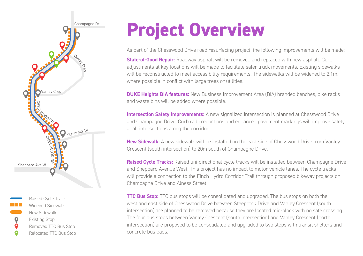



## **Project Overview**

As part of the Chesswood Drive road resurfacing project, the following improvements will be made:

**State-of-Good Repair:** Roadway asphalt will be removed and replaced with new asphalt. Curb adjustments at key locations will be made to facilitate safer truck movements. Existing sidewalks will be reconstructed to meet accessibility requirements. The sidewalks will be widened to 2.1m, where possible in conflict with large trees or utilities.

**DUKE Heights BIA features:** New Business Improvement Area (BIA) branded benches, bike racks and waste bins will be added where possible.

**Intersection Safety Improvements:** A new signalized intersection is planned at Chesswood Drive and Champagne Drive. Curb radii reductions and enhanced pavement markings will improve safety at all intersections along the corridor.

**New Sidewalk:** A new sidewalk will be installed on the east side of Chesswood Drive from Vanley Crescent (south intersection) to 20m south of Champagne Drive.

**Raised Cycle Tracks:** Raised uni-directional cycle tracks will be installed between Champagne Drive and Sheppard Avenue West. This project has no impact to motor vehicle lanes. The cycle tracks will provide a connection to the Finch Hydro Corridor Trail through proposed bikeway projects on Champagne Drive and Alness Street.

**TTC Bus Stop:** TTC bus stops will be consolidated and upgraded. The bus stops on both the west and east side of Chesswood Drive between Steeprock Drive and Vanley Crescent (south intersection) are planned to be removed because they are located mid-block with no safe crossing. The four bus stops between Vanley Crescent (south intersection) and Vanley Crescent (north intersection) are proposed to be consolidated and upgraded to two stops with transit shelters and concrete bus pads.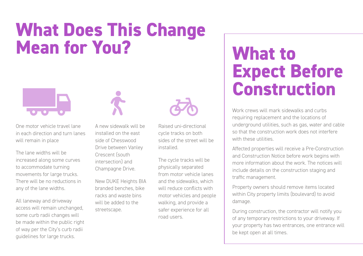### **What Does This Change Mean for You?**



One motor vehicle travel lane in each direction and turn lanes will remain in place

The lane widths will be increased along some curves to accommodate turning movements for large trucks. There will be no reductions in any of the lane widths.

All laneway and driveway access will remain unchanged, some curb radii changes will be made within the public right of way per the City's curb radii guidelines for large trucks.



A new sidewalk will be installed on the east side of Chesswood Drive between Vanley Crescent (south intersection) and Champagne Drive.

New DUKE Heights BIA branded benches, bike racks and waste bins will be added to the streetscape.



Raised uni-directional cycle tracks on both sides of the street will be installed.

The cycle tracks will be physically separated from motor vehicle lanes and the sidewalks, which will reduce conflicts with motor vehicles and people walking, and provide a safer experience for all road users.

### **What to Expect Before Construction**

Work crews will mark sidewalks and curbs requiring replacement and the locations of underground utilities, such as gas, water and cable so that the construction work does not interfere with these utilities.

Affected properties will receive a Pre-Construction and Construction Notice before work begins with more information about the work. The notices will include details on the construction staging and traffic management.

Property owners should remove items located within City property limits (boulevard) to avoid damage.

During construction, the contractor will notify you of any temporary restrictions to your driveway. If your property has two entrances, one entrance will be kept open at all times.